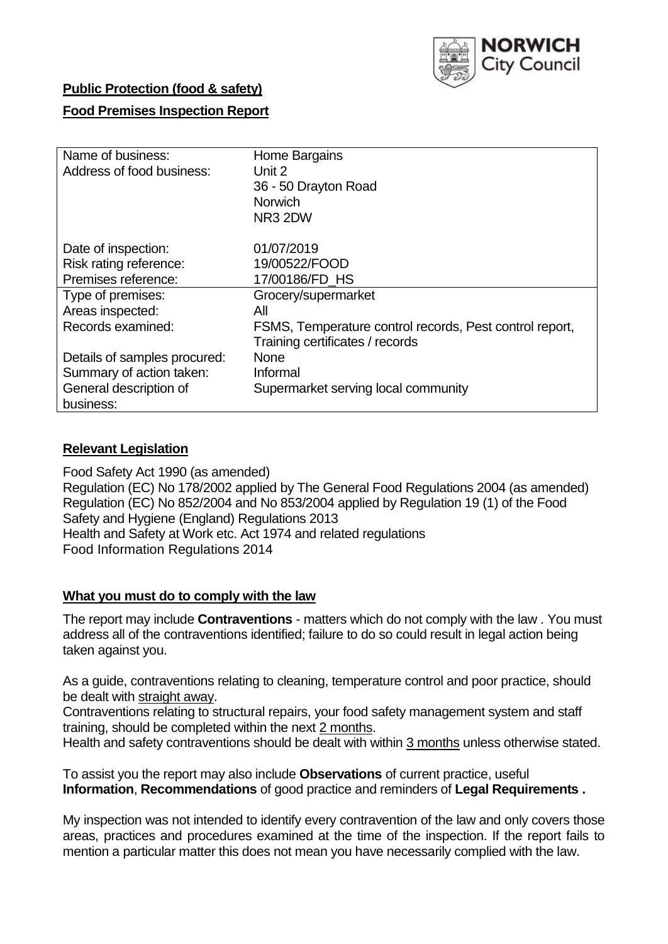

## **Public Protection (food & safety)**

## **Food Premises Inspection Report**

| Name of business:            | Home Bargains                                           |  |  |  |  |  |
|------------------------------|---------------------------------------------------------|--|--|--|--|--|
| Address of food business:    | Unit 2                                                  |  |  |  |  |  |
|                              | 36 - 50 Drayton Road                                    |  |  |  |  |  |
|                              | <b>Norwich</b>                                          |  |  |  |  |  |
|                              | NR3 2DW                                                 |  |  |  |  |  |
| Date of inspection:          | 01/07/2019                                              |  |  |  |  |  |
| Risk rating reference:       | 19/00522/FOOD                                           |  |  |  |  |  |
| Premises reference:          | 17/00186/FD HS                                          |  |  |  |  |  |
| Type of premises:            | Grocery/supermarket                                     |  |  |  |  |  |
| Areas inspected:             | All                                                     |  |  |  |  |  |
| Records examined:            | FSMS, Temperature control records, Pest control report, |  |  |  |  |  |
|                              | Training certificates / records                         |  |  |  |  |  |
| Details of samples procured: | <b>None</b>                                             |  |  |  |  |  |
| Summary of action taken:     | Informal                                                |  |  |  |  |  |
| General description of       | Supermarket serving local community                     |  |  |  |  |  |
| business:                    |                                                         |  |  |  |  |  |

### **Relevant Legislation**

Food Safety Act 1990 (as amended) Regulation (EC) No 178/2002 applied by The General Food Regulations 2004 (as amended) Regulation (EC) No 852/2004 and No 853/2004 applied by Regulation 19 (1) of the Food Safety and Hygiene (England) Regulations 2013 Health and Safety at Work etc. Act 1974 and related regulations Food Information Regulations 2014

### **What you must do to comply with the law**

The report may include **Contraventions** - matters which do not comply with the law . You must address all of the contraventions identified; failure to do so could result in legal action being taken against you.

As a guide, contraventions relating to cleaning, temperature control and poor practice, should be dealt with straight away.

Contraventions relating to structural repairs, your food safety management system and staff training, should be completed within the next 2 months.

Health and safety contraventions should be dealt with within 3 months unless otherwise stated.

To assist you the report may also include **Observations** of current practice, useful **Information**, **Recommendations** of good practice and reminders of **Legal Requirements .**

My inspection was not intended to identify every contravention of the law and only covers those areas, practices and procedures examined at the time of the inspection. If the report fails to mention a particular matter this does not mean you have necessarily complied with the law.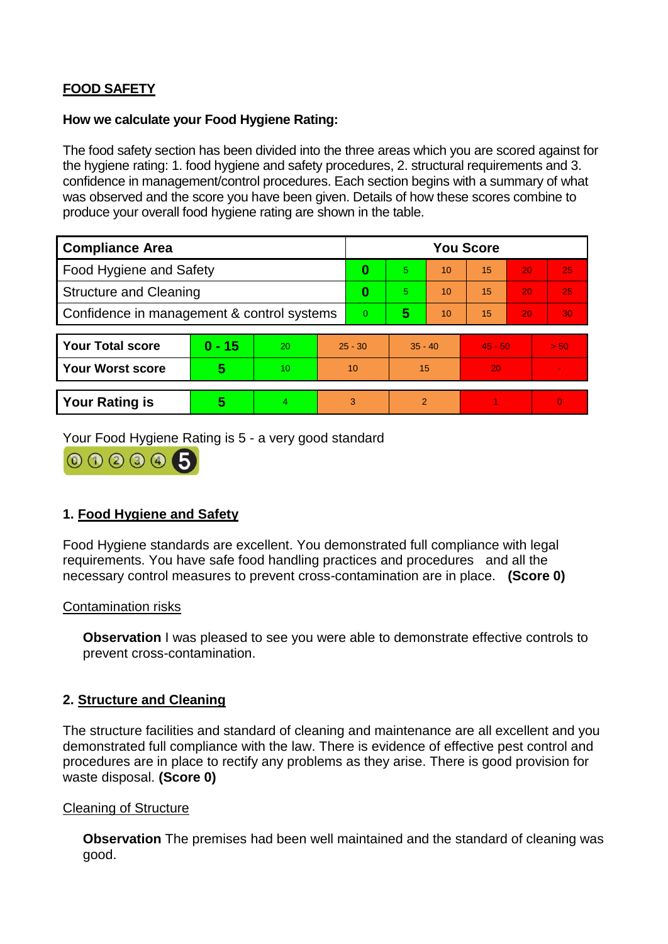# **FOOD SAFETY**

#### **How we calculate your Food Hygiene Rating:**

The food safety section has been divided into the three areas which you are scored against for the hygiene rating: 1. food hygiene and safety procedures, 2. structural requirements and 3. confidence in management/control procedures. Each section begins with a summary of what was observed and the score you have been given. Details of how these scores combine to produce your overall food hygiene rating are shown in the table.

| <b>Compliance Area</b>                     |                         |                  |           | <b>You Score</b> |                |    |           |    |                |  |  |
|--------------------------------------------|-------------------------|------------------|-----------|------------------|----------------|----|-----------|----|----------------|--|--|
| Food Hygiene and Safety                    |                         |                  |           | 0                | 5              | 10 | 15        | 20 | 25             |  |  |
| <b>Structure and Cleaning</b>              |                         |                  | $\bf{0}$  | 5                | 10             | 15 | 20        | 25 |                |  |  |
| Confidence in management & control systems |                         |                  | 0         | 5                | 10             | 15 | 20        | 30 |                |  |  |
|                                            |                         |                  |           |                  |                |    |           |    |                |  |  |
| <b>Your Total score</b>                    | $0 - 15$                | 20               | $25 - 30$ |                  | $35 - 40$      |    | $45 - 50$ |    | > 50           |  |  |
| Your Worst score                           | $\overline{\mathbf{5}}$ | 10 <sup>10</sup> | 10        |                  | 15             |    | 20        |    | $\blacksquare$ |  |  |
|                                            |                         |                  |           |                  |                |    |           |    |                |  |  |
| <b>Your Rating is</b>                      | 5                       | $\overline{4}$   | 3         |                  | $\overline{2}$ |    |           |    | $\overline{0}$ |  |  |

Your Food Hygiene Rating is 5 - a very good standard



# **1. Food Hygiene and Safety**

Food Hygiene standards are excellent. You demonstrated full compliance with legal requirements. You have safe food handling practices and procedures and all the necessary control measures to prevent cross-contamination are in place. **(Score 0)**

### Contamination risks

**Observation** I was pleased to see you were able to demonstrate effective controls to prevent cross-contamination.

### **2. Structure and Cleaning**

The structure facilities and standard of cleaning and maintenance are all excellent and you demonstrated full compliance with the law. There is evidence of effective pest control and procedures are in place to rectify any problems as they arise. There is good provision for waste disposal. **(Score 0)**

### Cleaning of Structure

**Observation** The premises had been well maintained and the standard of cleaning was good.